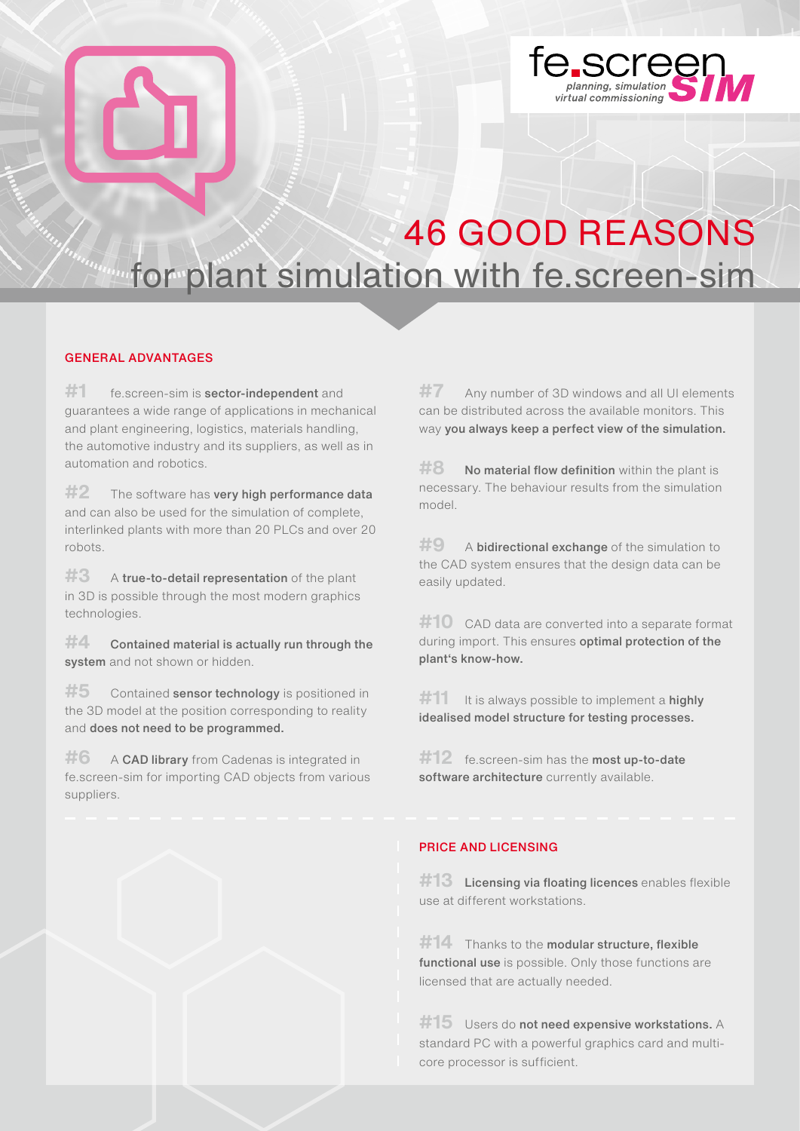

## 46 GOOD REASONS franca de for plant simulation with fe.screen-sim

#### GENERAL ADVANTAGES

**#1** fe.screen-sim is sector-independent and guarantees a wide range of applications in mechanical and plant engineering, logistics, materials handling, the automotive industry and its suppliers, as well as in automation and robotics.

#2 The software has very high performance data and can also be used for the simulation of complete, interlinked plants with more than 20 PLCs and over 20 robots.

**#3** A true-to-detail representation of the plant in 3D is possible through the most modern graphics technologies.

**#4** Contained material is actually run through the system and not shown or hidden.

#5 Contained **sensor technology** is positioned in the 3D model at the position corresponding to reality and does not need to be programmed.

**#6** A CAD library from Cadenas is integrated in fe.screen-sim for importing CAD objects from various suppliers.

**#7** Any number of 3D windows and all UI elements can be distributed across the available monitors. This way you always keep a perfect view of the simulation.

**#8** No material flow definition within the plant is necessary. The behaviour results from the simulation model.

**#9** A **bidirectional exchange** of the simulation to the CAD system ensures that the design data can be easily updated.

**#10** CAD data are converted into a separate format during import. This ensures **optimal protection of the** plant's know-how.

**#11** It is always possible to implement a **highly** idealised model structure for testing processes.

#12 fe.screen-sim has the most up-to-date software architecture currently available.

### PRICE AND LICENSING

**#13** Licensing via floating licences enables flexible use at different workstations.

#14 Thanks to the modular structure, flexible functional use is possible. Only those functions are licensed that are actually needed.

#15 Users do not need expensive workstations. A standard PC with a powerful graphics card and multicore processor is sufficient.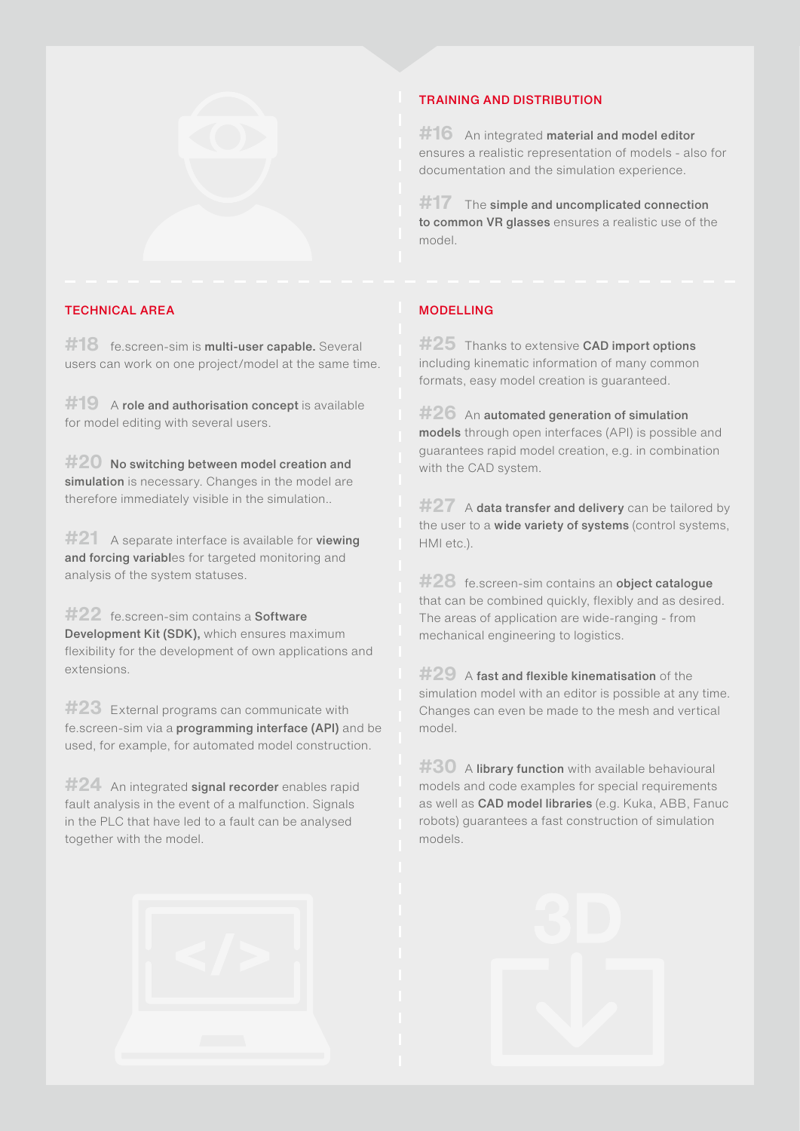

#### TECHNICAL AREA MODELLING

#18 fe.screen-sim is **multi-user capable.** Several users can work on one project/model at the same time.

#19 A role and authorisation concept is available for model editing with several users.

#20 No switching between model creation and simulation is necessary. Changes in the model are therefore immediately visible in the simulation..

**#21** A separate interface is available for viewing and forcing variables for targeted monitoring and analysis of the system statuses.

**#22** fe.screen-sim contains a Software Development Kit (SDK), which ensures maximum flexibility for the development of own applications and extensions.

**#23** External programs can communicate with fe.screen-sim via a programming interface (API) and be used, for example, for automated model construction.

**#24** An integrated signal recorder enables rapid fault analysis in the event of a malfunction. Signals in the PLC that have led to a fault can be analysed together with the model.

# TRAINING AND DISTRIBUTION

**#16** An integrated material and model editor ensures a realistic representation of models - also for documentation and the simulation experience.

**#17** The simple and uncomplicated connection to common VR glasses ensures a realistic use of the model.

**#25** Thanks to extensive **CAD import options** including kinematic information of many common formats, easy model creation is guaranteed.

**#26** An automated generation of simulation models through open interfaces (API) is possible and guarantees rapid model creation, e.g. in combination with the CAD system.

#27 A data transfer and delivery can be tailored by the user to a **wide variety of systems** (control systems, HMI etc.).

**#28** fe.screen-sim contains an object catalogue that can be combined quickly, flexibly and as desired. The areas of application are wide-ranging - from mechanical engineering to logistics.

**#29** A fast and flexible kinematisation of the simulation model with an editor is possible at any time. Changes can even be made to the mesh and vertical model.

**#30** A library function with available behavioural models and code examples for special requirements as well as CAD model libraries (e.g. Kuka, ABB, Fanuc robots) guarantees a fast construction of simulation models.



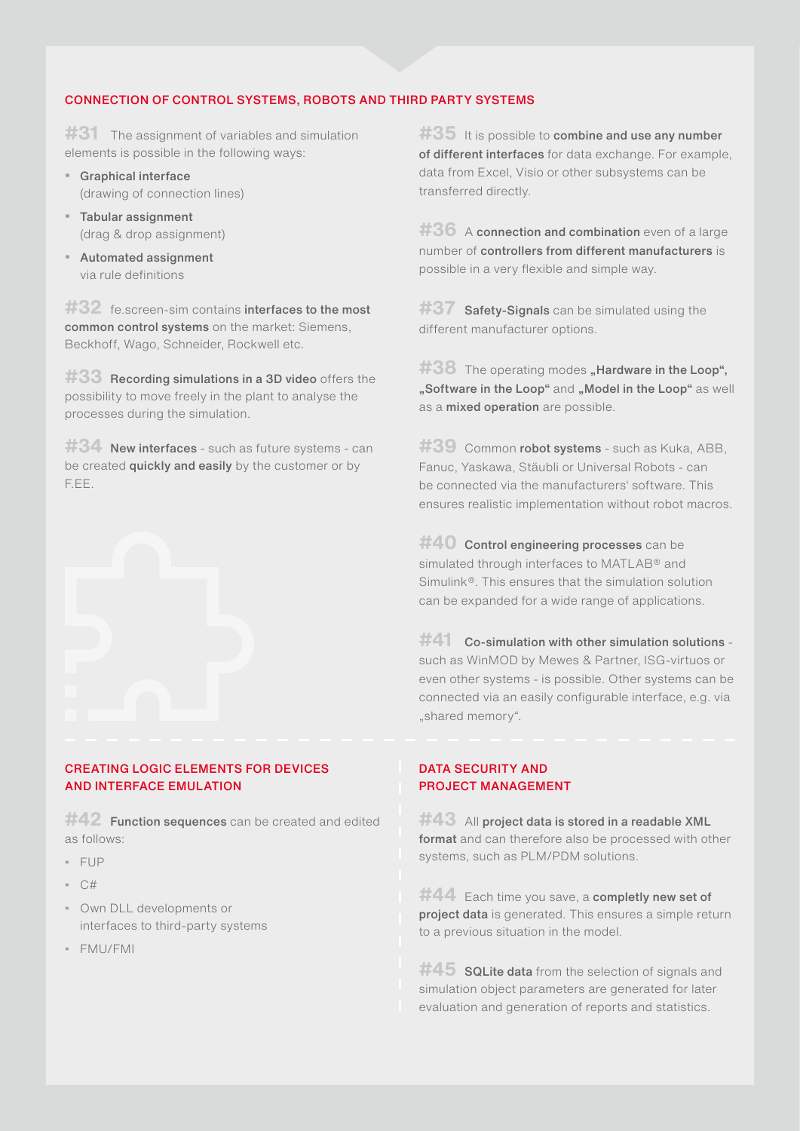#### CONNECTION OF CONTROL SYSTEMS, ROBOTS AND THIRD PARTY SYSTEMS

**#31** The assignment of variables and simulation elements is possible in the following ways:

- Graphical interface (drawing of connection lines)
- Tabular assignment (drag & drop assignment)
- Automated assignment via rule definitions

#32 fe.screen-sim contains interfaces to the most common control systems on the market: Siemens, Beckhoff, Wago, Schneider, Rockwell etc.

**#33** Recording simulations in a 3D video offers the possibility to move freely in the plant to analyse the processes during the simulation.

#34 New interfaces - such as future systems - can be created **quickly and easily** by the customer or by F.EE.



#### CREATING LOGIC ELEMENTS FOR DEVICES AND INTERFACE EMULATION

**#42** Function sequences can be created and edited as follows:

- FUP
- C#
- Own DLL developments or interfaces to third-party systems
- FMU/FMI

**#35** It is possible to **combine and use any number** of different interfaces for data exchange. For example, data from Excel, Visio or other subsystems can be transferred directly.

#36 A connection and combination even of a large number of controllers from different manufacturers is possible in a very flexible and simple way.

**#37** Safety-Signals can be simulated using the different manufacturer options.

#38 The operating modes **"Hardware in the Loop**", "Software in the Loop" and "Model in the Loop" as well as a mixed operation are possible.

**#39** Common robot systems - such as Kuka, ABB, Fanuc, Yaskawa, Stäubli or Universal Robots - can be connected via the manufacturers' software. This ensures realistic implementation without robot macros.

**#40** Control engineering processes can be simulated through interfaces to MATLAB® and Simulink®. This ensures that the simulation solution can be expanded for a wide range of applications.

**#41** Co-simulation with other simulation solutions such as WinMOD by Mewes & Partner, ISG-virtuos or even other systems - is possible. Other systems can be connected via an easily configurable interface, e.g. via "shared memory".

#### DATA SECURITY AND PROJECT MANAGEMENT

**#43** All project data is stored in a readable XML format and can therefore also be processed with other systems, such as PLM/PDM solutions.

**#44** Each time you save, a completly new set of project data is generated. This ensures a simple return to a previous situation in the model.

**#45** SQLite data from the selection of signals and simulation object parameters are generated for later evaluation and generation of reports and statistics.